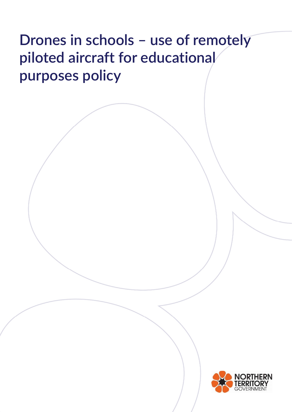# Drones in schools – use of remotely piloted aircraft for educational purposes policy

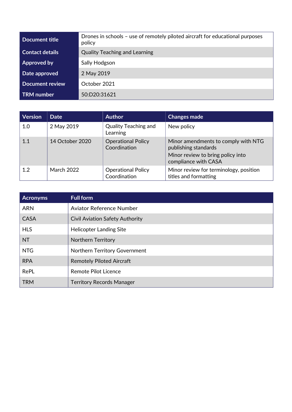| Document title         | Drones in schools - use of remotely piloted aircraft for educational purposes<br>policy |
|------------------------|-----------------------------------------------------------------------------------------|
| <b>Contact details</b> | <b>Quality Teaching and Learning</b>                                                    |
| Approved by            | Sally Hodgson                                                                           |
| Date approved          | 2 May 2019                                                                              |
| <b>Document review</b> | October 2021                                                                            |
| <b>TRM</b> number      | 50:D20:31621                                                                            |

| <b>Version</b> | <b>Date</b>       | <b>Author</b>                             | <b>Changes made</b>                                                                                                      |
|----------------|-------------------|-------------------------------------------|--------------------------------------------------------------------------------------------------------------------------|
| 1.0            | 2 May 2019        | <b>Quality Teaching and</b><br>Learning   | New policy                                                                                                               |
| 1.1            | 14 October 2020   | <b>Operational Policy</b><br>Coordination | Minor amendments to comply with NTG<br>publishing standards<br>Minor review to bring policy into<br>compliance with CASA |
| 1.2            | <b>March 2022</b> | <b>Operational Policy</b><br>Coordination | Minor review for terminology, position<br>titles and formatting                                                          |

| <b>Acronyms</b> | <b>Full form</b>                       |
|-----------------|----------------------------------------|
| <b>ARN</b>      | <b>Aviator Reference Number</b>        |
| <b>CASA</b>     | <b>Civil Aviation Safety Authority</b> |
| <b>HLS</b>      | <b>Helicopter Landing Site</b>         |
| <b>NT</b>       | <b>Northern Territory</b>              |
| <b>NTG</b>      | Northern Territory Government          |
| <b>RPA</b>      | <b>Remotely Piloted Aircraft</b>       |
| <b>RePL</b>     | <b>Remote Pilot Licence</b>            |
| <b>TRM</b>      | <b>Territory Records Manager</b>       |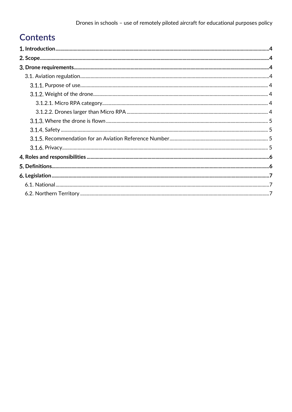## **Contents**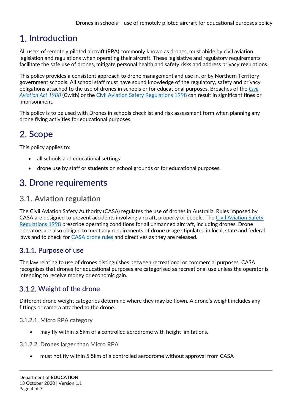## 1. Introduction

All users of remotely piloted aircraft (RPA) commonly known as drones, must abide by civil aviation legislation and regulations when operating their aircraft. These legislative and regulatory requirements facilitate the safe use of drones, mitigate personal health and safety risks and address privacy regulations.

This policy provides a consistent approach to drone management and use in, or by Northern Territory government schools. All school staff must have sound knowledge of the regulatory, safety and privacy obligations attached to the use of drones in schools or for educational purposes. Breaches of the Civil Aviation Act 1988 (Cwlth) or the Civil Aviation Safety Regulations 1998 can result in significant fines or imprisonment.

This policy is to be used with Drones in schools checklist and risk assessment form when planning any drone flying activities for educational purposes.

## 2. Scope

This policy applies to:

- all schools and educational settings
- drone use by staff or students on school grounds or for educational purposes.

## 3. Drone requirements

### 3.1. Aviation regulation

The Civil Aviation Safety Authority (CASA) regulates the use of drones in Australia. Rules imposed by CASA are designed to prevent accidents involving aircraft, property or people. The Civil Aviation Safety Regulations 1998 prescribe operating conditions for all unmanned aircraft, including drones. Drone operators are also obliged to meet any requirements of drone usage stipulated in local, state and federal laws and to check for CASA drone rules and directives as they are released.

#### 3.1.1. Purpose of use

The law relating to use of drones distinguishes between recreational or commercial purposes. CASA recognises that drones for educational purposes are categorised as recreational use unless the operator is intending to receive money or economic gain.

#### 3.1.2. Weight of the drone

Different drone weight categories determine where they may be flown. A drone's weight includes any fittings or camera attached to the drone.

#### 3.1.2.1. Micro RPA category

may fly within 5.5km of a controlled aerodrome with height limitations.

3.1.2.2. Drones larger than Micro RPA

must not fly within 5.5km of a controlled aerodrome without approval from CASA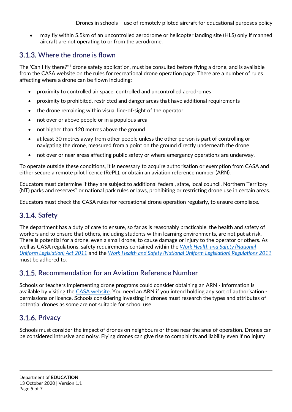may fly within 5.5km of an uncontrolled aerodrome or helicopter landing site (HLS) only if manned aircraft are not operating to or from the aerodrome.

#### 3.1.3. Where the drone is flown

The 'Can I fly there?''<sup>1</sup> drone safety application, must be consulted before flying a drone, and is available from the CASA website on the rules for recreational drone operation page. There are a number of rules affecting where a drone can be flown including:

- proximity to controlled air space, controlled and uncontrolled aerodromes
- proximity to prohibited, restricted and danger areas that have additional requirements
- the drone remaining within visual line-of-sight of the operator
- not over or above people or in a populous area
- not higher than 120 metres above the ground
- at least 30 metres away from other people unless the other person is part of controlling or navigating the drone, measured from a point on the ground directly underneath the drone
- not over or near areas affecting public safety or where emergency operations are underway.

To operate outside these conditions, it is necessary to acquire authorisation or exemption from CASA and either secure a remote pilot licence (RePL), or obtain an aviation reference number (ARN).

Educators must determine if they are subject to additional federal, state, local council, Northern Territory (NT) parks and reserves<sup>2</sup> or national park rules or laws, prohibiting or restricting drone use in certain areas.

Educators must check the CASA rules for recreational drone operation regularly, to ensure compliace.

#### 3.1.4. Safety

The department has a duty of care to ensure, so far as is reasonably practicable, the health and safety of workers and to ensure that others, including students within learning environments, are not put at risk. There is potential for a drone, even a small drone, to cause damage or injury to the operator or others. As well as CASA regulations, safety requirements contained within the Work Health and Safety (National Uniform Legislation) Act 2011 and the Work Health and Safety (National Uniform Legislation) Regulations 2011 must be adhered to.

#### 3.1.5. Recommendation for an Aviation Reference Number

Schools or teachers implementing drone programs could consider obtaining an ARN - information is available by visiting the CASA website. You need an ARN if you intend holding any sort of authorisation permissions or licence. Schools considering investing in drones must research the types and attributes of potential drones as some are not suitable for school use.

#### 3.1.6. Privacy

Schools must consider the impact of drones on neighbours or those near the area of operation. Drones can be considered intrusive and noisy. Flying drones can give rise to complaints and liability even if no injury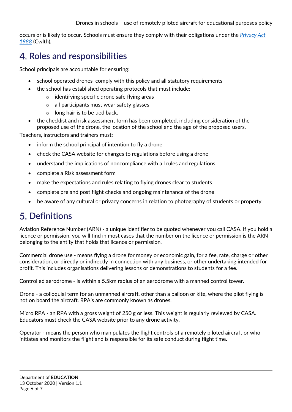occurs or is likely to occur. Schools must ensure they comply with their obligations under the Privacy Act 1988 (Cwlth).

## 4. Roles and responsibilities

School principals are accountable for ensuring:

- school operated drones comply with this policy and all statutory requirements
- the school has established operating protocols that must include:
	- o identifying specific drone safe flying areas
	- o all participants must wear safety glasses
	- $\circ$  long hair is to be tied back.
- the checklist and risk assessment form has been completed, including consideration of the proposed use of the drone, the location of the school and the age of the proposed users.

Teachers, instructors and trainers must:

- inform the school principal of intention to fly a drone
- check the CASA website for changes to regulations before using a drone
- understand the implications of noncompliance with all rules and regulations
- complete a Risk assessment form
- make the expectations and rules relating to flying drones clear to students
- complete pre and post flight checks and ongoing maintenance of the drone
- be aware of any cultural or privacy concerns in relation to photography of students or property.

## **5. Definitions**

Aviation Reference Number (ARN) - a unique identifier to be quoted whenever you call CASA. If you hold a licence or permission, you will find in most cases that the number on the licence or permission is the ARN belonging to the entity that holds that licence or permission.

Commercial drone use - means flying a drone for money or economic gain, for a fee, rate, charge or other consideration, or directly or indirectly in connection with any business, or other undertaking intended for profit. This includes organisations delivering lessons or demonstrations to students for a fee.

Controlled aerodrome - is within a 5.5km radius of an aerodrome with a manned control tower.

Drone - a colloquial term for an unmanned aircraft, other than a balloon or kite, where the pilot flying is not on board the aircraft. RPA's are commonly known as drones.

Micro RPA - an RPA with a gross weight of 250 g or less. This weight is regularly reviewed by CASA. Educators must check the CASA website prior to any drone activity.

Operator - means the person who manipulates the flight controls of a remotely piloted aircraft or who initiates and monitors the flight and is responsible for its safe conduct during flight time.